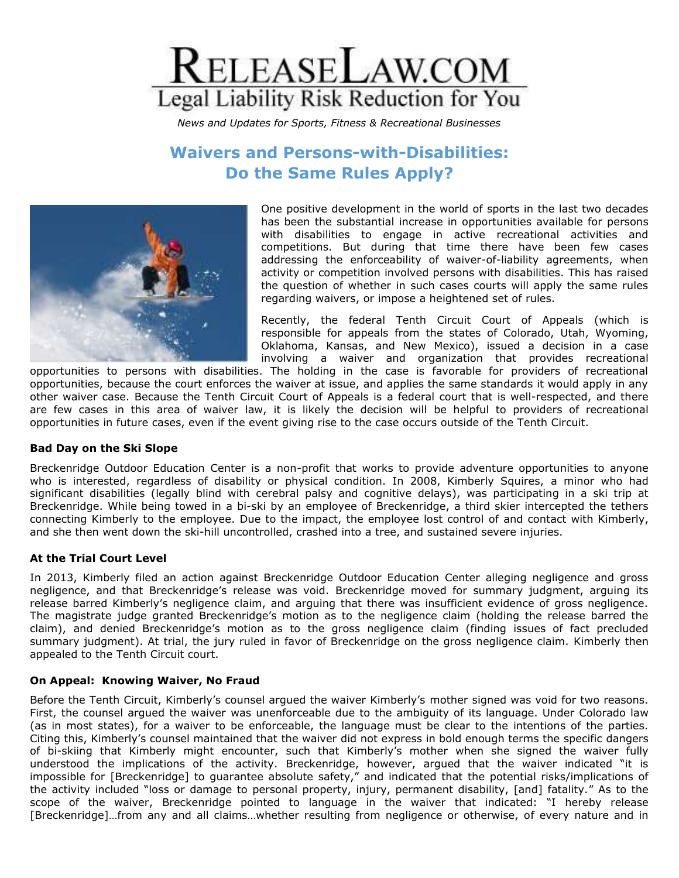

*News and Updates for Sports, Fitness & Recreational Businesses*

# **Waivers and Persons-with-Disabilities: Do the Same Rules Apply?**



One positive development in the world of sports in the last two decades has been the substantial increase in opportunities available for persons with disabilities to engage in active recreational activities and competitions. But during that time there have been few cases addressing the enforceability of waiver-of-liability agreements, when activity or competition involved persons with disabilities. This has raised the question of whether in such cases courts will apply the same rules regarding waivers, or impose a heightened set of rules.

Recently, the federal Tenth Circuit Court of Appeals (which is responsible for appeals from the states of Colorado, Utah, Wyoming, Oklahoma, Kansas, and New Mexico), issued a decision in a case involving a waiver and organization that provides recreational

opportunities to persons with disabilities. The holding in the case is favorable for providers of recreational opportunities, because the court enforces the waiver at issue, and applies the same standards it would apply in any other waiver case. Because the Tenth Circuit Court of Appeals is a federal court that is well-respected, and there are few cases in this area of waiver law, it is likely the decision will be helpful to providers of recreational opportunities in future cases, even if the event giving rise to the case occurs outside of the Tenth Circuit.

### **Bad Day on the Ski Slope**

Breckenridge Outdoor Education Center is a non-profit that works to provide adventure opportunities to anyone who is interested, regardless of disability or physical condition. In 2008, Kimberly Squires, a minor who had significant disabilities (legally blind with cerebral palsy and cognitive delays), was participating in a ski trip at Breckenridge. While being towed in a bi-ski by an employee of Breckenridge, a third skier intercepted the tethers connecting Kimberly to the employee. Due to the impact, the employee lost control of and contact with Kimberly, and she then went down the ski-hill uncontrolled, crashed into a tree, and sustained severe injuries.

### **At the Trial Court Level**

In 2013, Kimberly filed an action against Breckenridge Outdoor Education Center alleging negligence and gross negligence, and that Breckenridge's release was void. Breckenridge moved for summary judgment, arguing its release barred Kimberly's negligence claim, and arguing that there was insufficient evidence of gross negligence. The magistrate judge granted Breckenridge's motion as to the negligence claim (holding the release barred the claim), and denied Breckenridge's motion as to the gross negligence claim (finding issues of fact precluded summary judgment). At trial, the jury ruled in favor of Breckenridge on the gross negligence claim. Kimberly then appealed to the Tenth Circuit court.

### **On Appeal: Knowing Waiver, No Fraud**

Before the Tenth Circuit, Kimberly's counsel argued the waiver Kimberly's mother signed was void for two reasons. First, the counsel argued the waiver was unenforceable due to the ambiguity of its language. Under Colorado law (as in most states), for a waiver to be enforceable, the language must be clear to the intentions of the parties. Citing this, Kimberly's counsel maintained that the waiver did not express in bold enough terms the specific dangers of bi-skiing that Kimberly might encounter, such that Kimberly's mother when she signed the waiver fully understood the implications of the activity. Breckenridge, however, argued that the waiver indicated "it is impossible for [Breckenridge] to guarantee absolute safety," and indicated that the potential risks/implications of the activity included "loss or damage to personal property, injury, permanent disability, [and] fatality." As to the scope of the waiver, Breckenridge pointed to language in the waiver that indicated: "I hereby release [Breckenridge]…from any and all claims…whether resulting from negligence or otherwise, of every nature and in